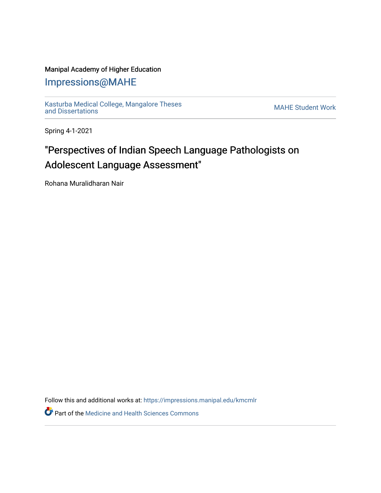### Manipal Academy of Higher Education

## [Impressions@MAHE](https://impressions.manipal.edu/)

[Kasturba Medical College, Mangalore Theses](https://impressions.manipal.edu/kmcmlr) [and Dissertations](https://impressions.manipal.edu/kmcmlr) [MAHE Student Work](https://impressions.manipal.edu/student-work) 

Spring 4-1-2021

# "Perspectives of Indian Speech Language Pathologists on Adolescent Language Assessment"

Rohana Muralidharan Nair

Follow this and additional works at: [https://impressions.manipal.edu/kmcmlr](https://impressions.manipal.edu/kmcmlr?utm_source=impressions.manipal.edu%2Fkmcmlr%2F216&utm_medium=PDF&utm_campaign=PDFCoverPages) 

**Part of the Medicine and Health Sciences Commons**